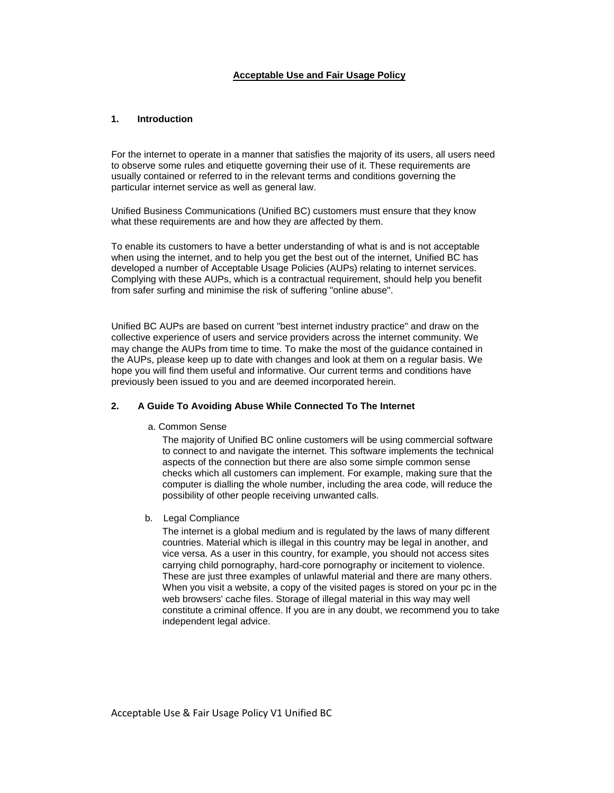## **Acceptable Use and Fair Usage Policy**

## **1. Introduction**

For the internet to operate in a manner that satisfies the majority of its users, all users need to observe some rules and etiquette governing their use of it. These requirements are usually contained or referred to in the relevant terms and conditions governing the particular internet service as well as general law.

Unified Business Communications (Unified BC) customers must ensure that they know what these requirements are and how they are affected by them.

To enable its customers to have a better understanding of what is and is not acceptable when using the internet, and to help you get the best out of the internet, Unified BC has developed a number of Acceptable Usage Policies (AUPs) relating to internet services. Complying with these AUPs, which is a contractual requirement, should help you benefit from safer surfing and minimise the risk of suffering "online abuse".

Unified BC AUPs are based on current "best internet industry practice" and draw on the collective experience of users and service providers across the internet community. We may change the AUPs from time to time. To make the most of the guidance contained in the AUPs, please keep up to date with changes and look at them on a regular basis. We hope you will find them useful and informative. Our current terms and conditions have previously been issued to you and are deemed incorporated herein.

## **2. A Guide To Avoiding Abuse While Connected To The Internet**

a. Common Sense

The majority of Unified BC online customers will be using commercial software to connect to and navigate the internet. This software implements the technical aspects of the connection but there are also some simple common sense checks which all customers can implement. For example, making sure that the computer is dialling the whole number, including the area code, will reduce the possibility of other people receiving unwanted calls.

b. Legal Compliance

The internet is a global medium and is regulated by the laws of many different countries. Material which is illegal in this country may be legal in another, and vice versa. As a user in this country, for example, you should not access sites carrying child pornography, hard-core pornography or incitement to violence. These are just three examples of unlawful material and there are many others. When you visit a website, a copy of the visited pages is stored on your pc in the web browsers' cache files. Storage of illegal material in this way may well constitute a criminal offence. If you are in any doubt, we recommend you to take independent legal advice.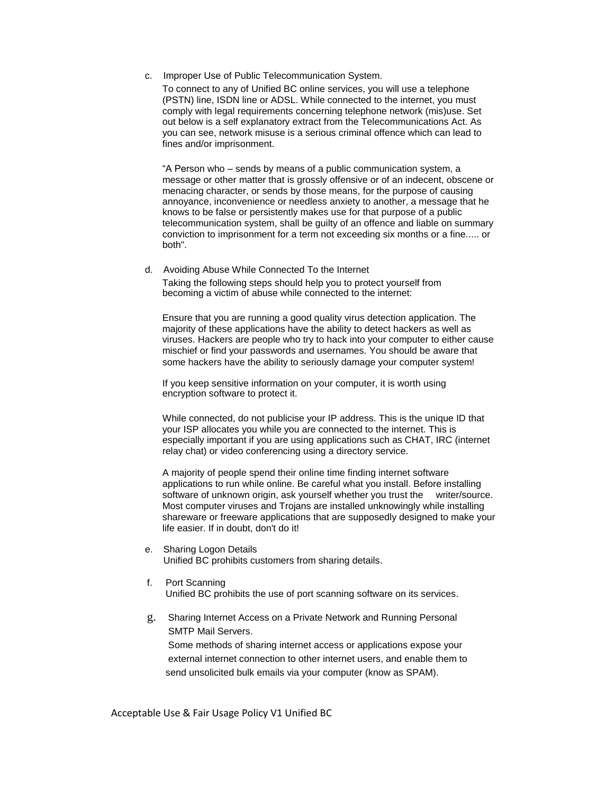c. Improper Use of Public Telecommunication System.

To connect to any of Unified BC online services, you will use a telephone (PSTN) line, ISDN line or ADSL. While connected to the internet, you must comply with legal requirements concerning telephone network (mis)use. Set out below is a self explanatory extract from the Telecommunications Act. As you can see, network misuse is a serious criminal offence which can lead to fines and/or imprisonment.

"A Person who – sends by means of a public communication system, a message or other matter that is grossly offensive or of an indecent, obscene or menacing character, or sends by those means, for the purpose of causing annoyance, inconvenience or needless anxiety to another, a message that he knows to be false or persistently makes use for that purpose of a public telecommunication system, shall be guilty of an offence and liable on summary conviction to imprisonment for a term not exceeding six months or a fine..... or both".

d. Avoiding Abuse While Connected To the Internet Taking the following steps should help you to protect yourself from becoming a victim of abuse while connected to the internet:

Ensure that you are running a good quality virus detection application. The majority of these applications have the ability to detect hackers as well as viruses. Hackers are people who try to hack into your computer to either cause mischief or find your passwords and usernames. You should be aware that some hackers have the ability to seriously damage your computer system!

If you keep sensitive information on your computer, it is worth using encryption software to protect it.

While connected, do not publicise your IP address. This is the unique ID that your ISP allocates you while you are connected to the internet. This is especially important if you are using applications such as CHAT, IRC (internet relay chat) or video conferencing using a directory service.

A majority of people spend their online time finding internet software applications to run while online. Be careful what you install. Before installing software of unknown origin, ask yourself whether you trust the writer/source. Most computer viruses and Trojans are installed unknowingly while installing shareware or freeware applications that are supposedly designed to make your life easier. If in doubt, don't do it!

- e. Sharing Logon Details Unified BC prohibits customers from sharing details.
- f. Port Scanning Unified BC prohibits the use of port scanning software on its services.
- g. Sharing Internet Access on a Private Network and Running Personal SMTP Mail Servers.

 Some methods of sharing internet access or applications expose your external internet connection to other internet users, and enable them to send unsolicited bulk emails via your computer (know as SPAM).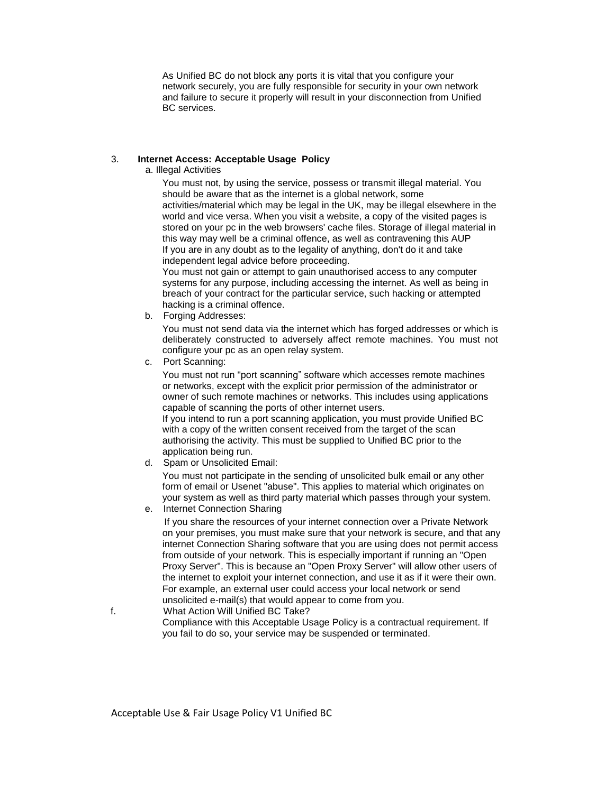As Unified BC do not block any ports it is vital that you configure your network securely, you are fully responsible for security in your own network and failure to secure it properly will result in your disconnection from Unified BC services.

# 3. **Internet Access: Acceptable Usage Policy**

a. Illegal Activities

You must not, by using the service, possess or transmit illegal material. You should be aware that as the internet is a global network, some activities/material which may be legal in the UK, may be illegal elsewhere in the world and vice versa. When you visit a website, a copy of the visited pages is stored on your pc in the web browsers' cache files. Storage of illegal material in this way may well be a criminal offence, as well as contravening this AUP If you are in any doubt as to the legality of anything, don't do it and take independent legal advice before proceeding.

You must not gain or attempt to gain unauthorised access to any computer systems for any purpose, including accessing the internet. As well as being in breach of your contract for the particular service, such hacking or attempted hacking is a criminal offence.

b. Forging Addresses:

You must not send data via the internet which has forged addresses or which is deliberately constructed to adversely affect remote machines. You must not configure your pc as an open relay system.

c. Port Scanning:

You must not run "port scanning" software which accesses remote machines or networks, except with the explicit prior permission of the administrator or owner of such remote machines or networks. This includes using applications capable of scanning the ports of other internet users.

If you intend to run a port scanning application, you must provide Unified BC with a copy of the written consent received from the target of the scan authorising the activity. This must be supplied to Unified BC prior to the application being run.

d. Spam or Unsolicited Email:

You must not participate in the sending of unsolicited bulk email or any other form of email or Usenet "abuse". This applies to material which originates on your system as well as third party material which passes through your system.

e. Internet Connection Sharing

If you share the resources of your internet connection over a Private Network on your premises, you must make sure that your network is secure, and that any internet Connection Sharing software that you are using does not permit access from outside of your network. This is especially important if running an "Open Proxy Server". This is because an "Open Proxy Server" will allow other users of the internet to exploit your internet connection, and use it as if it were their own. For example, an external user could access your local network or send unsolicited e-mail(s) that would appear to come from you.

f. What Action Will Unified BC Take? Compliance with this Acceptable Usage Policy is a contractual requirement. If you fail to do so, your service may be suspended or terminated.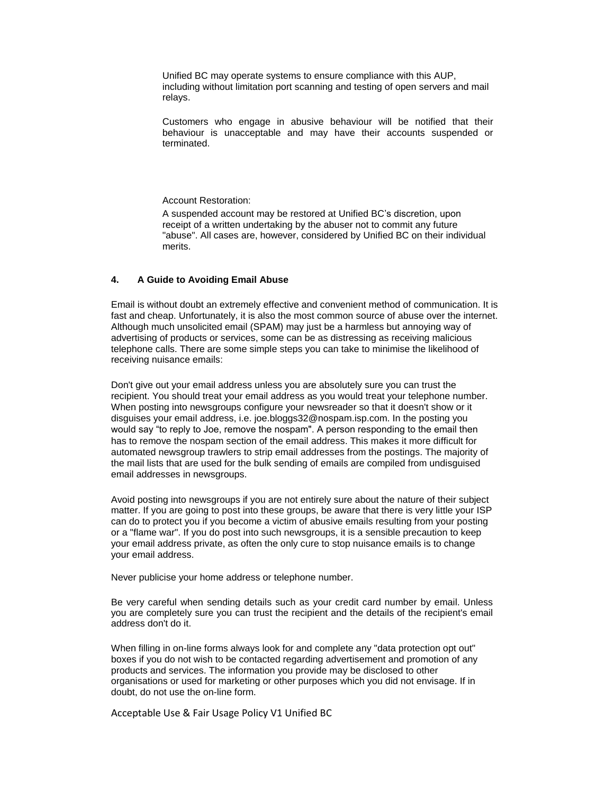Unified BC may operate systems to ensure compliance with this AUP, including without limitation port scanning and testing of open servers and mail relays.

Customers who engage in abusive behaviour will be notified that their behaviour is unacceptable and may have their accounts suspended or terminated.

Account Restoration:

A suspended account may be restored at Unified BC's discretion, upon receipt of a written undertaking by the abuser not to commit any future "abuse". All cases are, however, considered by Unified BC on their individual merits.

## **4. A Guide to Avoiding Email Abuse**

Email is without doubt an extremely effective and convenient method of communication. It is fast and cheap. Unfortunately, it is also the most common source of abuse over the internet. Although much unsolicited email (SPAM) may just be a harmless but annoying way of advertising of products or services, some can be as distressing as receiving malicious telephone calls. There are some simple steps you can take to minimise the likelihood of receiving nuisance emails:

Don't give out your email address unless you are absolutely sure you can trust the recipient. You should treat your email address as you would treat your telephone number. When posting into newsgroups configure your newsreader so that it doesn't show or it disguises your email address, i.e. joe.bloggs32@nospam.isp.com. In the posting you would say "to reply to Joe, remove the nospam". A person responding to the email then has to remove the nospam section of the email address. This makes it more difficult for automated newsgroup trawlers to strip email addresses from the postings. The majority of the mail lists that are used for the bulk sending of emails are compiled from undisguised email addresses in newsgroups.

Avoid posting into newsgroups if you are not entirely sure about the nature of their subject matter. If you are going to post into these groups, be aware that there is very little your ISP can do to protect you if you become a victim of abusive emails resulting from your posting or a "flame war". If you do post into such newsgroups, it is a sensible precaution to keep your email address private, as often the only cure to stop nuisance emails is to change your email address.

Never publicise your home address or telephone number.

Be very careful when sending details such as your credit card number by email. Unless you are completely sure you can trust the recipient and the details of the recipient's email address don't do it.

When filling in on-line forms always look for and complete any "data protection opt out" boxes if you do not wish to be contacted regarding advertisement and promotion of any products and services. The information you provide may be disclosed to other organisations or used for marketing or other purposes which you did not envisage. If in doubt, do not use the on-line form.

Acceptable Use & Fair Usage Policy V1 Unified BC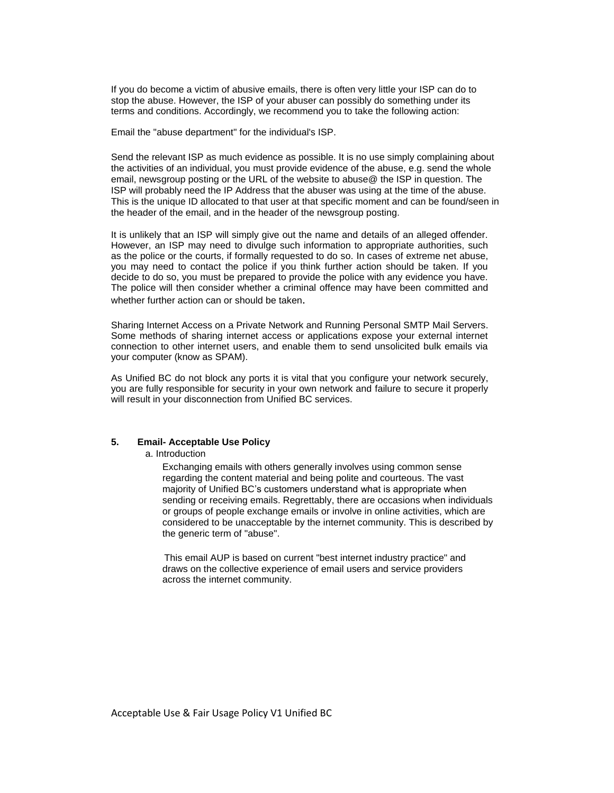If you do become a victim of abusive emails, there is often very little your ISP can do to stop the abuse. However, the ISP of your abuser can possibly do something under its terms and conditions. Accordingly, we recommend you to take the following action:

Email the "abuse department" for the individual's ISP.

Send the relevant ISP as much evidence as possible. It is no use simply complaining about the activities of an individual, you must provide evidence of the abuse, e.g. send the whole email, newsgroup posting or the URL of the website to abuse@ the ISP in question. The ISP will probably need the IP Address that the abuser was using at the time of the abuse. This is the unique ID allocated to that user at that specific moment and can be found/seen in the header of the email, and in the header of the newsgroup posting.

It is unlikely that an ISP will simply give out the name and details of an alleged offender. However, an ISP may need to divulge such information to appropriate authorities, such as the police or the courts, if formally requested to do so. In cases of extreme net abuse, you may need to contact the police if you think further action should be taken. If you decide to do so, you must be prepared to provide the police with any evidence you have. The police will then consider whether a criminal offence may have been committed and whether further action can or should be taken.

Sharing Internet Access on a Private Network and Running Personal SMTP Mail Servers. Some methods of sharing internet access or applications expose your external internet connection to other internet users, and enable them to send unsolicited bulk emails via your computer (know as SPAM).

As Unified BC do not block any ports it is vital that you configure your network securely, you are fully responsible for security in your own network and failure to secure it properly will result in your disconnection from Unified BC services.

#### **5. Email- Acceptable Use Policy**

a. Introduction

Exchanging emails with others generally involves using common sense regarding the content material and being polite and courteous. The vast majority of Unified BC's customers understand what is appropriate when sending or receiving emails. Regrettably, there are occasions when individuals or groups of people exchange emails or involve in online activities, which are considered to be unacceptable by the internet community. This is described by the generic term of "abuse".

This email AUP is based on current "best internet industry practice" and draws on the collective experience of email users and service providers across the internet community.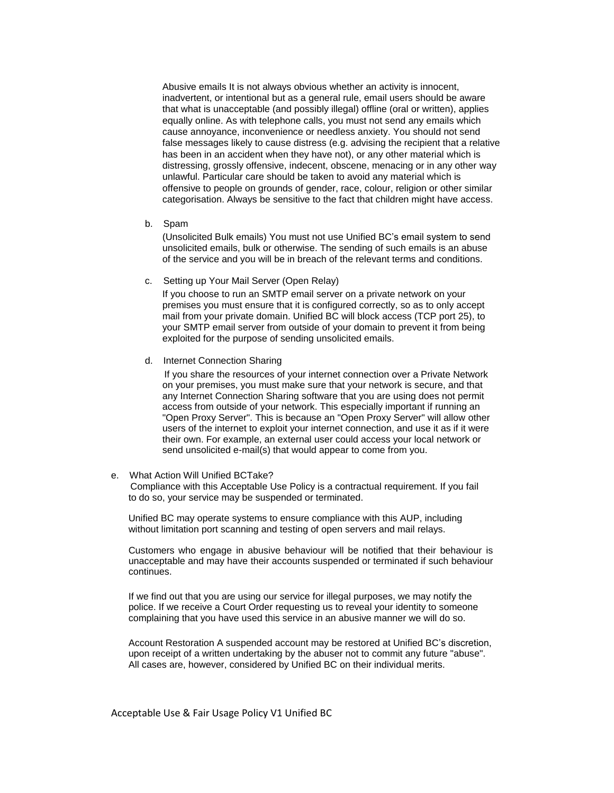Abusive emails It is not always obvious whether an activity is innocent, inadvertent, or intentional but as a general rule, email users should be aware that what is unacceptable (and possibly illegal) offline (oral or written), applies equally online. As with telephone calls, you must not send any emails which cause annoyance, inconvenience or needless anxiety. You should not send false messages likely to cause distress (e.g. advising the recipient that a relative has been in an accident when they have not), or any other material which is distressing, grossly offensive, indecent, obscene, menacing or in any other way unlawful. Particular care should be taken to avoid any material which is offensive to people on grounds of gender, race, colour, religion or other similar categorisation. Always be sensitive to the fact that children might have access.

b. Spam

(Unsolicited Bulk emails) You must not use Unified BC's email system to send unsolicited emails, bulk or otherwise. The sending of such emails is an abuse of the service and you will be in breach of the relevant terms and conditions.

c. Setting up Your Mail Server (Open Relay)

If you choose to run an SMTP email server on a private network on your premises you must ensure that it is configured correctly, so as to only accept mail from your private domain. Unified BC will block access (TCP port 25), to your SMTP email server from outside of your domain to prevent it from being exploited for the purpose of sending unsolicited emails.

d. Internet Connection Sharing

If you share the resources of your internet connection over a Private Network on your premises, you must make sure that your network is secure, and that any Internet Connection Sharing software that you are using does not permit access from outside of your network. This especially important if running an "Open Proxy Server". This is because an "Open Proxy Server" will allow other users of the internet to exploit your internet connection, and use it as if it were their own. For example, an external user could access your local network or send unsolicited e-mail(s) that would appear to come from you.

e. What Action Will Unified BCTake?

Compliance with this Acceptable Use Policy is a contractual requirement. If you fail to do so, your service may be suspended or terminated.

Unified BC may operate systems to ensure compliance with this AUP, including without limitation port scanning and testing of open servers and mail relays.

Customers who engage in abusive behaviour will be notified that their behaviour is unacceptable and may have their accounts suspended or terminated if such behaviour continues.

If we find out that you are using our service for illegal purposes, we may notify the police. If we receive a Court Order requesting us to reveal your identity to someone complaining that you have used this service in an abusive manner we will do so.

Account Restoration A suspended account may be restored at Unified BC's discretion, upon receipt of a written undertaking by the abuser not to commit any future "abuse". All cases are, however, considered by Unified BC on their individual merits.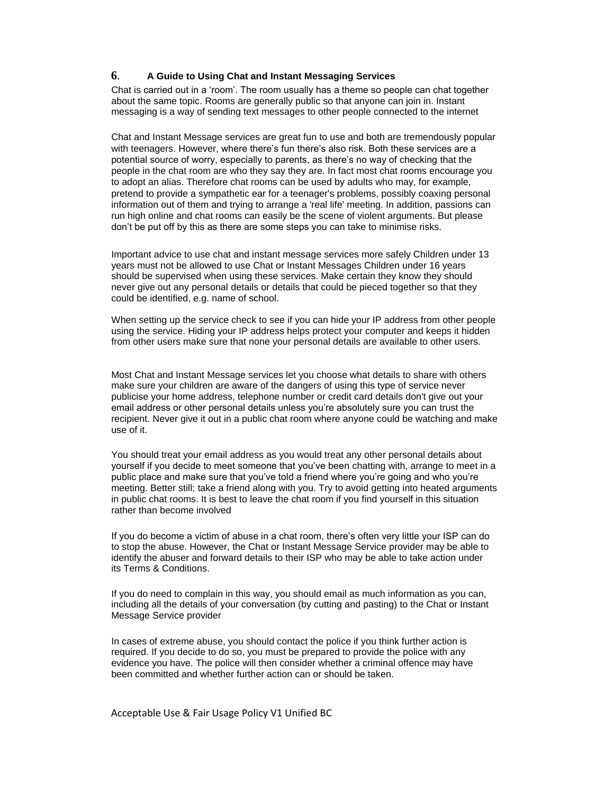# **6**. **A Guide to Using Chat and Instant Messaging Services**

Chat is carried out in a 'room'. The room usually has a theme so people can chat together about the same topic. Rooms are generally public so that anyone can join in. Instant messaging is a way of sending text messages to other people connected to the internet

Chat and Instant Message services are great fun to use and both are tremendously popular with teenagers. However, where there's fun there's also risk. Both these services are a potential source of worry, especially to parents, as there's no way of checking that the people in the chat room are who they say they are. In fact most chat rooms encourage you to adopt an alias. Therefore chat rooms can be used by adults who may, for example, pretend to provide a sympathetic ear for a teenager's problems, possibly coaxing personal information out of them and trying to arrange a 'real life' meeting. In addition, passions can run high online and chat rooms can easily be the scene of violent arguments. But please don't be put off by this as there are some steps you can take to minimise risks.

Important advice to use chat and instant message services more safely Children under 13 years must not be allowed to use Chat or Instant Messages Children under 16 years should be supervised when using these services. Make certain they know they should never give out any personal details or details that could be pieced together so that they could be identified, e.g. name of school.

When setting up the service check to see if you can hide your IP address from other people using the service. Hiding your IP address helps protect your computer and keeps it hidden from other users make sure that none your personal details are available to other users.

Most Chat and Instant Message services let you choose what details to share with others make sure your children are aware of the dangers of using this type of service never publicise your home address, telephone number or credit card details don't give out your email address or other personal details unless you're absolutely sure you can trust the recipient. Never give it out in a public chat room where anyone could be watching and make use of it.

You should treat your email address as you would treat any other personal details about yourself if you decide to meet someone that you've been chatting with, arrange to meet in a public place and make sure that you've told a friend where you're going and who you're meeting. Better still; take a friend along with you. Try to avoid getting into heated arguments in public chat rooms. It is best to leave the chat room if you find yourself in this situation rather than become involved

If you do become a victim of abuse in a chat room, there's often very little your ISP can do to stop the abuse. However, the Chat or Instant Message Service provider may be able to identify the abuser and forward details to their ISP who may be able to take action under its Terms & Conditions.

If you do need to complain in this way, you should email as much information as you can, including all the details of your conversation (by cutting and pasting) to the Chat or Instant Message Service provider

In cases of extreme abuse, you should contact the police if you think further action is required. If you decide to do so, you must be prepared to provide the police with any evidence you have. The police will then consider whether a criminal offence may have been committed and whether further action can or should be taken.

Acceptable Use & Fair Usage Policy V1 Unified BC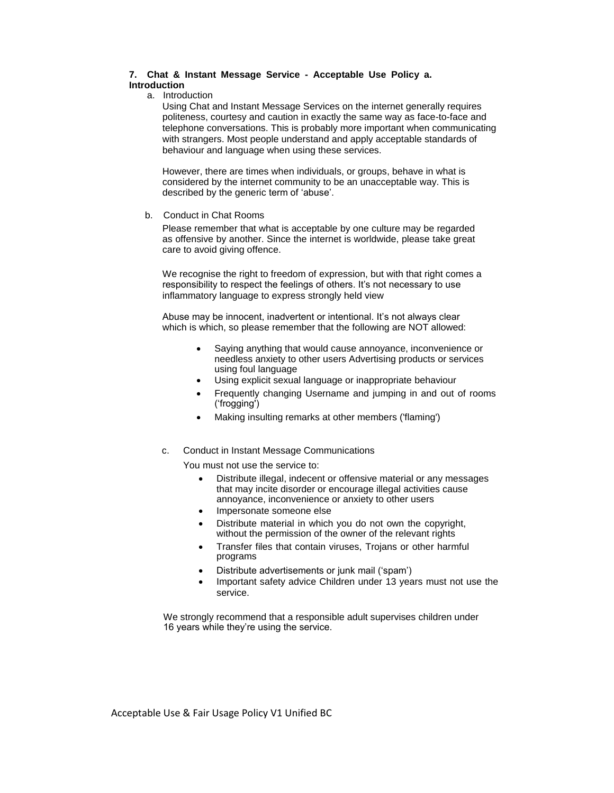## **7. Chat & Instant Message Service - Acceptable Use Policy a. Introduction**

a. Introduction

Using Chat and Instant Message Services on the internet generally requires politeness, courtesy and caution in exactly the same way as face-to-face and telephone conversations. This is probably more important when communicating with strangers. Most people understand and apply acceptable standards of behaviour and language when using these services.

However, there are times when individuals, or groups, behave in what is considered by the internet community to be an unacceptable way. This is described by the generic term of 'abuse'.

b. Conduct in Chat Rooms

Please remember that what is acceptable by one culture may be regarded as offensive by another. Since the internet is worldwide, please take great care to avoid giving offence.

We recognise the right to freedom of expression, but with that right comes a responsibility to respect the feelings of others. It's not necessary to use inflammatory language to express strongly held view

Abuse may be innocent, inadvertent or intentional. It's not always clear which is which, so please remember that the following are NOT allowed:

- Saying anything that would cause annoyance, inconvenience or needless anxiety to other users Advertising products or services using foul language
- Using explicit sexual language or inappropriate behaviour
- Frequently changing Username and jumping in and out of rooms ('frogging')
- Making insulting remarks at other members ('flaming')
- c. Conduct in Instant Message Communications

You must not use the service to:

- Distribute illegal, indecent or offensive material or any messages that may incite disorder or encourage illegal activities cause annoyance, inconvenience or anxiety to other users
- Impersonate someone else
- Distribute material in which you do not own the copyright, without the permission of the owner of the relevant rights
- Transfer files that contain viruses, Trojans or other harmful programs
- Distribute advertisements or junk mail ('spam')
- Important safety advice Children under 13 years must not use the service.

We strongly recommend that a responsible adult supervises children under 16 years while they're using the service.